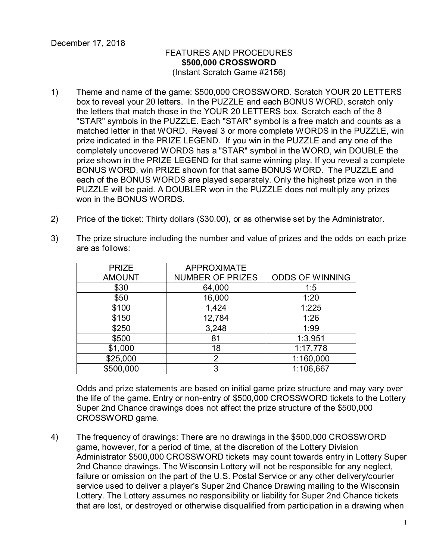## FEATURES AND PROCEDURES **\$500,000 CROSSWORD** (Instant Scratch Game #2156)

- 1) Theme and name of the game: \$500,000 CROSSWORD. Scratch YOUR 20 LETTERS box to reveal your 20 letters. In the PUZZLE and each BONUS WORD, scratch only the letters that match those in the YOUR 20 LETTERS box. Scratch each of the 8 "STAR" symbols in the PUZZLE. Each "STAR" symbol is a free match and counts as a matched letter in that WORD. Reveal 3 or more complete WORDS in the PUZZLE, win prize indicated in the PRIZE LEGEND. If you win in the PUZZLE and any one of the completely uncovered WORDS has a "STAR" symbol in the WORD, win DOUBLE the prize shown in the PRIZE LEGEND for that same winning play. If you reveal a complete BONUS WORD, win PRIZE shown for that same BONUS WORD. The PUZZLE and each of the BONUS WORDS are played separately. Only the highest prize won in the PUZZLE will be paid. A DOUBLER won in the PUZZLE does not multiply any prizes won in the BONUS WORDS.
- 2) Price of the ticket: Thirty dollars (\$30.00), or as otherwise set by the Administrator.

| <b>PRIZE</b>  | <b>APPROXIMATE</b>      |                        |
|---------------|-------------------------|------------------------|
| <b>AMOUNT</b> | <b>NUMBER OF PRIZES</b> | <b>ODDS OF WINNING</b> |
| \$30          | 64,000                  | 1:5                    |
| \$50          | 16,000                  | 1:20                   |
| \$100         | 1,424                   | 1:225                  |
| \$150         | 12,784                  | 1:26                   |
| \$250         | 3,248                   | 1:99                   |
| \$500         | 81                      | 1:3,951                |
| \$1,000       | 18                      | 1:17,778               |
| \$25,000      | 2                       | 1:160,000              |
| \$500,000     | 3                       | 1:106,667              |

3) The prize structure including the number and value of prizes and the odds on each prize are as follows:

Odds and prize statements are based on initial game prize structure and may vary over the life of the game. Entry or non-entry of \$500,000 CROSSWORD tickets to the Lottery Super 2nd Chance drawings does not affect the prize structure of the \$500,000 CROSSWORD game.

4) The frequency of drawings: There are no drawings in the \$500,000 CROSSWORD game, however, for a period of time, at the discretion of the Lottery Division Administrator \$500,000 CROSSWORD tickets may count towards entry in Lottery Super 2nd Chance drawings. The Wisconsin Lottery will not be responsible for any neglect, failure or omission on the part of the U.S. Postal Service or any other delivery/courier service used to deliver a player's Super 2nd Chance Drawing mailing to the Wisconsin Lottery. The Lottery assumes no responsibility or liability for Super 2nd Chance tickets that are lost, or destroyed or otherwise disqualified from participation in a drawing when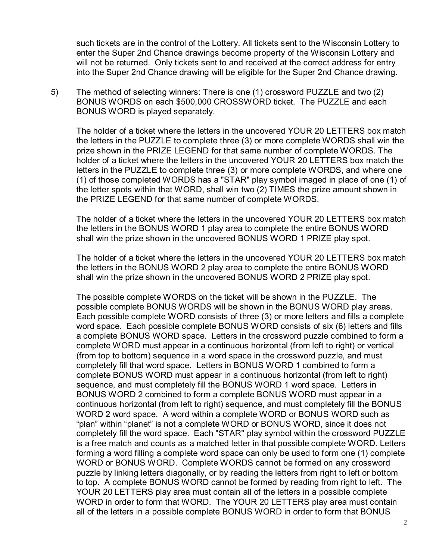such tickets are in the control of the Lottery. All tickets sent to the Wisconsin Lottery to enter the Super 2nd Chance drawings become property of the Wisconsin Lottery and will not be returned. Only tickets sent to and received at the correct address for entry into the Super 2nd Chance drawing will be eligible for the Super 2nd Chance drawing.

5) The method of selecting winners: There is one (1) crossword PUZZLE and two (2) BONUS WORDS on each \$500,000 CROSSWORD ticket. The PUZZLE and each BONUS WORD is played separately.

The holder of a ticket where the letters in the uncovered YOUR 20 LETTERS box match the letters in the PUZZLE to complete three (3) or more complete WORDS shall win the prize shown in the PRIZE LEGEND for that same number of complete WORDS. The holder of a ticket where the letters in the uncovered YOUR 20 LETTERS box match the letters in the PUZZLE to complete three (3) or more complete WORDS, and where one (1) of those completed WORDS has a "STAR" play symbol imaged in place of one (1) of the letter spots within that WORD, shall win two (2) TIMES the prize amount shown in the PRIZE LEGEND for that same number of complete WORDS.

The holder of a ticket where the letters in the uncovered YOUR 20 LETTERS box match the letters in the BONUS WORD 1 play area to complete the entire BONUS WORD shall win the prize shown in the uncovered BONUS WORD 1 PRIZE play spot.

The holder of a ticket where the letters in the uncovered YOUR 20 LETTERS box match the letters in the BONUS WORD 2 play area to complete the entire BONUS WORD shall win the prize shown in the uncovered BONUS WORD 2 PRIZE play spot.

The possible complete WORDS on the ticket will be shown in the PUZZLE. The possible complete BONUS WORDS will be shown in the BONUS WORD play areas. Each possible complete WORD consists of three (3) or more letters and fills a complete word space. Each possible complete BONUS WORD consists of six (6) letters and fills a complete BONUS WORD space. Letters in the crossword puzzle combined to form a complete WORD must appear in a continuous horizontal (from left to right) or vertical (from top to bottom) sequence in a word space in the crossword puzzle, and must completely fill that word space. Letters in BONUS WORD 1 combined to form a complete BONUS WORD must appear in a continuous horizontal (from left to right) sequence, and must completely fill the BONUS WORD 1 word space. Letters in BONUS WORD 2 combined to form a complete BONUS WORD must appear in a continuous horizontal (from left to right) sequence, and must completely fill the BONUS WORD 2 word space. A word within a complete WORD or BONUS WORD such as "plan" within "planet" is not a complete WORD or BONUS WORD, since it does not completely fill the word space. Each "STAR" play symbol within the crossword PUZZLE is a free match and counts as a matched letter in that possible complete WORD. Letters forming a word filling a complete word space can only be used to form one (1) complete WORD or BONUS WORD. Complete WORDS cannot be formed on any crossword puzzle by linking letters diagonally, or by reading the letters from right to left or bottom to top. A complete BONUS WORD cannot be formed by reading from right to left. The YOUR 20 LETTERS play area must contain all of the letters in a possible complete WORD in order to form that WORD. The YOUR 20 LETTERS play area must contain all of the letters in a possible complete BONUS WORD in order to form that BONUS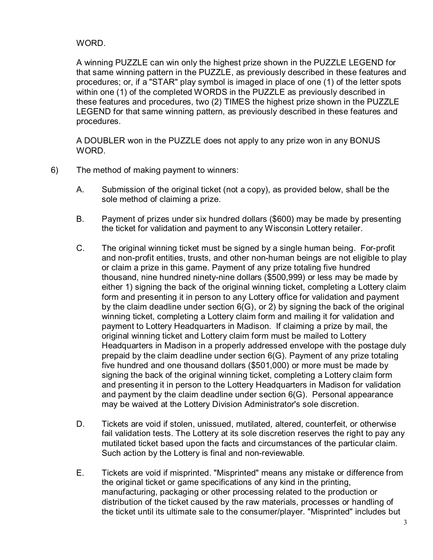## WORD.

A winning PUZZLE can win only the highest prize shown in the PUZZLE LEGEND for that same winning pattern in the PUZZLE, as previously described in these features and procedures; or, if a "STAR" play symbol is imaged in place of one (1) of the letter spots within one (1) of the completed WORDS in the PUZZLE as previously described in these features and procedures, two (2) TIMES the highest prize shown in the PUZZLE LEGEND for that same winning pattern, as previously described in these features and procedures.

A DOUBLER won in the PUZZLE does not apply to any prize won in any BONUS WORD.

- 6) The method of making payment to winners:
	- A. Submission of the original ticket (not a copy), as provided below, shall be the sole method of claiming a prize.
	- B. Payment of prizes under six hundred dollars (\$600) may be made by presenting the ticket for validation and payment to any Wisconsin Lottery retailer.
	- C. The original winning ticket must be signed by a single human being. For-profit and non-profit entities, trusts, and other non-human beings are not eligible to play or claim a prize in this game. Payment of any prize totaling five hundred thousand, nine hundred ninety-nine dollars (\$500,999) or less may be made by either 1) signing the back of the original winning ticket, completing a Lottery claim form and presenting it in person to any Lottery office for validation and payment by the claim deadline under section 6(G), or 2) by signing the back of the original winning ticket, completing a Lottery claim form and mailing it for validation and payment to Lottery Headquarters in Madison. If claiming a prize by mail, the original winning ticket and Lottery claim form must be mailed to Lottery Headquarters in Madison in a properly addressed envelope with the postage duly prepaid by the claim deadline under section 6(G). Payment of any prize totaling five hundred and one thousand dollars (\$501,000) or more must be made by signing the back of the original winning ticket, completing a Lottery claim form and presenting it in person to the Lottery Headquarters in Madison for validation and payment by the claim deadline under section 6(G). Personal appearance may be waived at the Lottery Division Administrator's sole discretion.
	- D. Tickets are void if stolen, unissued, mutilated, altered, counterfeit, or otherwise fail validation tests. The Lottery at its sole discretion reserves the right to pay any mutilated ticket based upon the facts and circumstances of the particular claim. Such action by the Lottery is final and non-reviewable.
	- E. Tickets are void if misprinted. "Misprinted" means any mistake or difference from the original ticket or game specifications of any kind in the printing, manufacturing, packaging or other processing related to the production or distribution of the ticket caused by the raw materials, processes or handling of the ticket until its ultimate sale to the consumer/player. "Misprinted" includes but